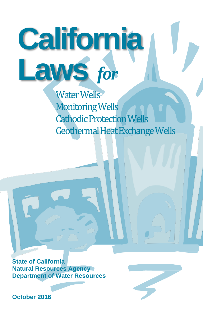Water Wells Monitoring Wells Cathodic Protection Wells Geothermal Heat Exchange Wells

**California**

**Laws** *for*

**State of California Natural Resources Agency Department of Water Resources**

**October 2016**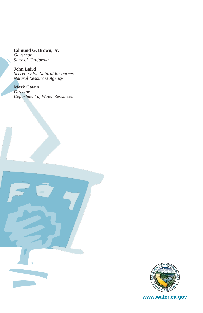**Edmund G. Brown, Jr.** *Governor State of California*

**John Laird**  *Secretary for Natural Resources Natural Resources Agency* 

**Mark Cowin** *Director Department of Water Resources*



**www.water.ca.gov**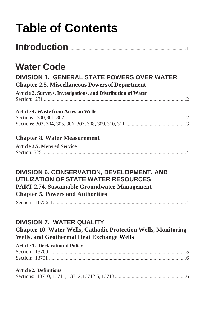# **Table of Contents**

|--|--|

# **[Water Code](#page-4-1)**

# **[DIVISION 1. GENERAL STATE POWERS OVER WATER](#page-5-0) [Chapter 2.5. Miscellaneous Powers of Department](#page-5-1)**

**[Article 2. Surveys, Investigations, and Distribution of Water](#page-5-2)** Section: 231 .............................................................................................................. 2

### **[Article 4. Waste from Artesian Wells](#page-5-3)**

## **Chapter 8. Water Measurement**

| <b>Article 3.5. Metered Service</b> |  |
|-------------------------------------|--|
|                                     |  |

### **[DIVISION 6. CONSERVATION, DEVELOPMENT, AND](#page-7-0)  [UTILIZATION OF STATE WATER RESOURCES](#page-7-0) PART 2.74. Sustainable Groundwater Management Chapter 5. Powers and Authorities**

Section: 10726.4 ....................................................................................................... 4

# **[DIVISION 7. WATER QUALITY](#page-7-0)**

**Chapter 10. Water Wells, Cathodic Protection Wells, Monitoring Wells, and Geothermal Heat Exchange Wells**

#### **[Article 1. Declaration of Policy](#page-8-0)** Section: 13700 .......................................................................................................... 5 Section: 13701 .......................................................................................................... 6

#### **[Article 2. Definitions](#page-9-0)**

|--|--|--|--|--|--|--|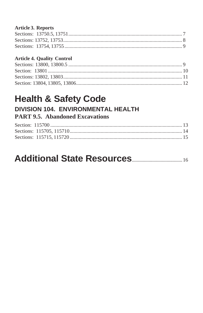#### **Article 3. Reports**

## **Article 4. Quality Control**

# **Health & Safety Code** DIVISION 104. ENVIRONMENTAL HEALTH

# **PART 9.5. Abandoned Excavations**

#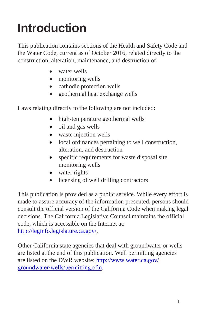# <span id="page-4-0"></span>**Introduction**

This publication contains sections of the Health and Safety Code and the Water Code, current as of October 2016, related directly to the construction, alteration, maintenance, and destruction of:

- water wells
- monitoring wells
- cathodic protection wells
- geothermal heat exchange wells

Laws relating directly to the following are not included:

- high-temperature geothermal wells
- oil and gas wells
- waste injection wells
- local ordinances pertaining to well construction, alteration, and destruction
- specific requirements for waste disposal site monitoring wells
- water rights
- licensing of well drilling contractors

This publication is provided as a public service. While every effort is made to assure accuracy of the information presented, persons should consult the official version of the California Code when making legal decisions. The California Legislative Counsel maintains the official code, which is accessible on the Internet at: [http://leginfo.legislature.ca.gov/.](http://leginfo.legislature.ca.gov/)

<span id="page-4-1"></span>Other California state agencies that deal with groundwater or wells are listed at the end of this publication. Well permitting agencies are listed on the DWR web[site: http://](http://www.water.ca.gov/groundwater/wells/permitting.cfm)www.water.ca.gov/ groundwater/wells/permitting.cfm.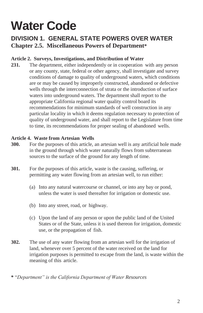# **Water Code**

# <span id="page-5-1"></span><span id="page-5-0"></span>**DIVISION 1. GENERAL STATE POWERS OVER WATER Chapter 2.5. Miscellaneous Powers of Department\***

#### <span id="page-5-2"></span>**Article 2. Surveys, Investigations, and Distribution of Water**

**231.** The department, either independently or in cooperation with any person or any county, state, federal or other agency, shall investigate and survey conditions of damage to quality of underground waters, which conditions are or may be caused by improperly constructed, abandoned or defective wells through the interconnection of strata or the introduction of surface waters into underground waters. The department shall report to the appropriate California regional water quality control board its recommendations for minimum standards of well construction in any particular locality in which it deems regulation necessary to protection of quality of underground water, and shall report to the Legislature from time to time, its recommendations for proper sealing of abandoned wells.

#### <span id="page-5-3"></span>**Article 4. Waste from Artesian Wells**

- **300.** For the purposes of this article, an artesian well is any artificial hole made in the ground through which water naturally flows from subterranean sources to the surface of the ground for any length of time.
- **301.** For the purposes of this article, waste is the causing, suffering, or permitting any water flowing from an artesian well, to run either:
	- (a) Into any natural watercourse or channel, or into any bay or pond, unless the water is used thereafter for irrigation or domestic use.
	- (b) Into any street, road, or highway.
	- (c) Upon the land of any person or upon the public land of the United States or of the State, unless it is used thereon for irrigation, domestic use, or the propagation of fish.
- **302.** The use of any water flowing from an artesian well for the irrigation of land, whenever over 5 percent of the water received on the land for irrigation purposes is permitted to escape from the land, is waste within the meaning of this article.

**\*** "*Department" is the California Department of Water Resources*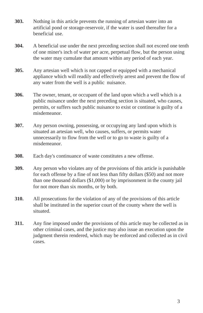- **303.** Nothing in this article prevents the running of artesian water into an artificial pond or storage-reservoir, if the water is used thereafter for a beneficial use.
- **304.** A beneficial use under the next preceding section shall not exceed one tenth of one miner's inch of water per acre, perpetual flow, but the person using the water may cumulate that amount within any period of each year.
- **305.** Any artesian well which is not capped or equipped with a mechanical appliance which will readily and effectively arrest and prevent the flow of any water from the well is a public nuisance.
- **306.** The owner, tenant, or occupant of the land upon which a well which is a public nuisance under the next preceding section is situated, who causes, permits, or suffers such public nuisance to exist or continue is guilty of a misdemeanor.
- **307.** Any person owning, possessing, or occupying any land upon which is situated an artesian well, who causes, suffers, or permits water unnecessarily to flow from the well or to go to waste is guilty of a misdemeanor.
- **308.** Each day's continuance of waste constitutes a new offense.
- **309.** Any person who violates any of the provisions of this article is punishable for each offense by a fine of not less than fifty dollars (\$50) and not more than one thousand dollars (\$1,000) or by imprisonment in the county jail for not more than six months, or by both.
- **310.** All prosecutions for the violation of any of the provisions of this article shall be instituted in the superior court of the county where the well is situated.
- **311.** Any fine imposed under the provisions of this article may be collected as in other criminal cases, and the justice may also issue an execution upon the judgment therein rendered, which may be enforced and collected as in civil cases.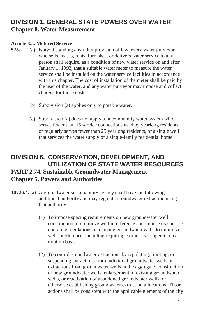# <span id="page-7-0"></span>**DIVISION 1. GENERAL STATE POWERS OVER WATER Chapter 8. Water Measurement**

#### **Article 3.5. Metered Service**

- **525.** (a) Notwithstanding any other provision of law, every water purveyor who sells, leases, rents, furnishes, or delivers water service to any person shall require, as a condition of new water service on and after January 1, 1992, that a suitable water meter to measure the water service shall be installed on the water service facilities in accordance with this chapter. The cost of installation of the meter shall be paid by the user of the water, and any water purveyor may impose and collect charges for those costs.
	- (b) Subdivision (a) applies only to potable water.
	- (c) Subdivision (a) does not apply to a community water system which serves fewer than 15 service connections used by yearlong residents or regularly serves fewer than 25 yearlong residents, or a single well that services the water supply of a single-family residential home.

## **[DIVISION 6. CONSERVATION, DEVELOPMENT, AND](#page-7-0)  [UTILIZATION OF STATE WATER RESOURCES](#page-7-0) PART 2.74. Sustainable Groundwater Management Chapter 5. Powers and Authorities**

- **10726.4.** (a) A groundwater sustainability agency shall have the following additional authority and may regulate groundwater extraction using that authority:
	- (1) To impose spacing requirements on new groundwater well construction to minimize well interference and impose reasonable operating regulations on existing groundwater wells to minimize well interference, including requiring extractors to operate on a rotation basis.
	- (2) To control groundwater extractions by regulating, limiting, or suspending extractions from individual groundwater wells or extractions from groundwater wells in the aggregate, construction of new groundwater wells, enlargement of existing groundwater wells, or reactivation of abandoned groundwater wells, or otherwise establishing groundwater extraction allocations. Those actions shall be consistent with the applicable elements of the city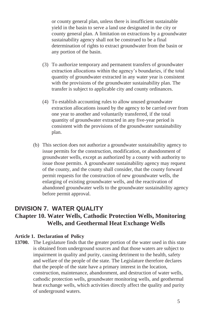or county general plan, unless there is insufficient sustainable yield in the basin to serve a land use designated in the city or county general plan. A limitation on extractions by a groundwater sustainability agency shall not be construed to be a final determination of rights to extract groundwater from the basin or any portion of the basin.

- (3) To authorize temporary and permanent transfers of groundwater extraction allocations within the agency's boundaries, if the total quantity of groundwater extracted in any water year is consistent with the provisions of the groundwater sustainability plan. The transfer is subject to applicable city and county ordinances.
- (4) To establish accounting rules to allow unused groundwater extraction allocations issued by the agency to be carried over from one year to another and voluntarily transferred, if the total quantity of groundwater extracted in any five-year period is consistent with the provisions of the groundwater sustainability plan.
- (b) This section does not authorize a groundwater sustainability agency to issue permits for the construction, modification, or abandonment of groundwater wells, except as authorized by a county with authority to issue those permits. A groundwater sustainability agency may request of the county, and the county shall consider, that the county forward permit requests for the construction of new groundwater wells, the enlarging of existing groundwater wells, and the reactivation of abandoned groundwater wells to the groundwater sustainability agency before permit approval.

## **DIVISION 7. WATER QUALITY Chapter 10. Water Wells, Cathodic Protection Wells, Monitoring Wells, and Geothermal Heat Exchange Wells**

#### <span id="page-8-0"></span>**Article 1. Declaration of Policy**

**13700.** The Legislature finds that the greater portion of the water used in this state is obtained from underground sources and that those waters are subject to impairment in quality and purity, causing detriment to the health, safety and welfare of the people of the state. The Legislature therefore declares that the people of the state have a primary interest in the location, construction, maintenance, abandonment, and destruction of water wells, cathodic protection wells, groundwater monitoring wells, and geothermal heat exchange wells, which activities directly affect the quality and purity of underground waters.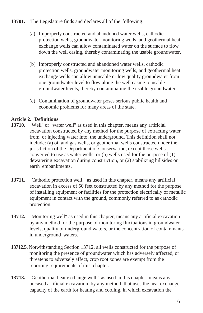#### **13701.** The Legislature finds and declares all of the following:

- (a) Improperly constructed and abandoned water wells, cathodic protection wells, groundwater monitoring wells, and geothermal heat exchange wells can allow contaminated water on the surface to flow down the well casing, thereby contaminating the usable groundwater.
- (b) Improperly constructed and abandoned water wells, cathodic protection wells, groundwater monitoring wells, and geothermal heat exchange wells can allow unusable or low quality groundwater from one groundwater level to flow along the well casing to usable groundwater levels, thereby contaminating the usable groundwater.
- (c) Contamination of groundwater poses serious public health and economic problems for many areas of the state.

#### <span id="page-9-0"></span>**Article 2. Definitions**

- **13710.** "Well" or "water well" as used in this chapter, means any artificial excavation constructed by any method for the purpose of extracting water from, or injecting water into, the underground. This definition shall not include: (a) oil and gas wells, or geothermal wells constructed under the jurisdiction of the Department of Conservation, except those wells converted to use as water wells; or (b) wells used for the purpose of (1) dewatering excavation during construction, or (2) stabilizing hillsides or earth embankments.
- **13711.** "Cathodic protection well," as used in this chapter, means any artificial excavation in excess of 50 feet constructed by any method for the purpose of installing equipment or facilities for the protection electrically of metallic equipment in contact with the ground, commonly referred to as cathodic protection.
- **13712.** "Monitoring well" as used in this chapter, means any artificial excavation by any method for the purpose of monitoring fluctuations in groundwater levels, quality of underground waters, or the concentration of contaminants in underground waters.
- **13712.5.** Notwithstanding Section 13712, all wells constructed for the purpose of monitoring the presence of groundwater which has adversely affected, or threatens to adversely affect, crop root zones are exempt from the reporting requirements of this chapter.
- **13713.** "Geothermal heat exchange well," as used in this chapter, means any uncased artificial excavation, by any method, that uses the heat exchange capacity of the earth for heating and cooling, in which excavation the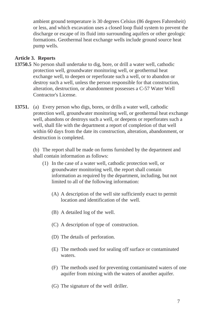ambient ground temperature is 30 degrees Celsius (86 degrees Fahrenheit) or less, and which excavation uses a closed loop fluid system to prevent the discharge or escape of its fluid into surrounding aquifers or other geologic formations. Geothermal heat exchange wells include ground source heat pump wells.

#### <span id="page-10-0"></span>**Article 3. Reports**

- **13750.5** No person shall undertake to dig, bore, or drill a water well, cathodic protection well, groundwater monitoring well, or geothermal heat exchange well, to deepen or reperforate such a well, or to abandon or destroy such a well, unless the person responsible for that construction, alteration, destruction, or abandonment possesses a C-57 Water Well Contractor's License.
- **13751.** (a) Every person who digs, bores, or drills a water well, cathodic protection well, groundwater monitoring well, or geothermal heat exchange well, abandons or destroys such a well, or deepens or reperforates such a well, shall file with the department a report of completion of that well within 60 days from the date its construction, alteration, abandonment, or destruction is completed.

(b) The report shall be made on forms furnished by the department and shall contain information as follows:

- (1) In the case of a water well, cathodic protection well, or groundwater monitoring well, the report shall contain information as required by the department, including, but not limited to all of the following information:
	- (A) A description of the well site sufficiently exact to permit location and identification of the well.
	- (B) A detailed log of the well.
	- (C) A description of type of construction.
	- (D) The details of perforation.
	- (E) The methods used for sealing off surface or contaminated waters.
	- (F) The methods used for preventing contaminated waters of one aquifer from mixing with the waters of another aquifer.
	- (G) The signature of the well driller.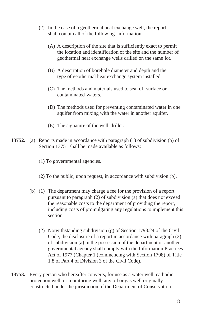- (2) In the case of a geothermal heat exchange well, the report shall contain all of the following information:
	- (A) A description of the site that is sufficiently exact to permit the location and identification of the site and the number of geothermal heat exchange wells drilled on the same lot.
	- (B) A description of borehole diameter and depth and the type of geothermal heat exchange system installed.
	- (C) The methods and materials used to seal off surface or contaminated waters.
	- (D) The methods used for preventing contaminated water in one aquifer from mixing with the water in another aquifer.
	- (E) The signature of the well driller.
- **13752.** (a) Reports made in accordance with paragraph (1) of subdivision (b) of Section 13751 shall be made available as follows:
	- (1) To governmental agencies.
	- (2) To the public, upon request, in accordance with subdivision (b).
	- (b) (1) The department may charge a fee for the provision of a report pursuant to paragraph (2) of subdivision (a) that does not exceed the reasonable costs to the department of providing the report, including costs of promulgating any regulations to implement this section.
		- (2) Notwithstanding subdivision (g) of Section 1798.24 of the Civil Code, the disclosure of a report in accordance with paragraph (2) of subdivision (a) in the possession of the department or another governmental agency shall comply with the Information Practices Act of 1977 (Chapter 1 (commencing with Section 1798) of Title 1.8 of Part 4 of Division 3 of the Civil Code).
- **13753.** Every person who hereafter converts, for use as a water well, cathodic protection well, or monitoring well, any oil or gas well originally constructed under the jurisdiction of the Department of Conservation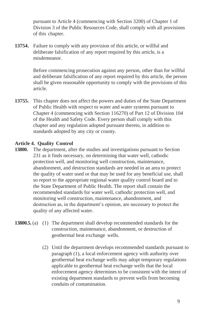pursuant to Article 4 (commencing with Section 3200) of Chapter 1 of Division 3 of the Public Resources Code, shall comply with all provisions of this chapter.

**13754.** Failure to comply with any provision of this article, or willful and deliberate falsification of any report required by this article, is a misdemeanor.

> Before commencing prosecution against any person, other than for willful and deliberate falsification of any report required by this article, the person shall be given reasonable opportunity to comply with the provisions of this article.

**13755.** This chapter does not affect the powers and duties of the State Department of Public Health with respect to water and water systems pursuant to Chapter 4 (commencing with Section 116270) of Part 12 of Division 104 of the Health and Safety Code. Every person shall comply with this chapter and any regulation adopted pursuant thereto, in addition to standards adopted by any city or county.

#### <span id="page-12-0"></span>**Article 4. Quality Control**

- **13800.** The department, after the studies and investigations pursuant to Section 231 as it finds necessary, on determining that water well, cathodic protection well, and monitoring well construction, maintenance, abandonment, and destruction standards are needed in an area to protect the quality of water used or that may be used for any beneficial use, shall so report to the appropriate regional water quality control board and to the State Department of Public Health. The report shall contain the recommended standards for water well, cathodic protection well, and monitoring well construction, maintenance, abandonment, and destruction as, in the department's opinion, are necessary to protect the quality of any affected water.
- **13800.5.** (a) (1) The department shall develop recommended standards for the construction, maintenance, abandonment, or destruction of geothermal heat exchange wells.
	- (2) Until the department develops recommended standards pursuant to paragraph (1), a local enforcement agency with authority over geothermal heat exchange wells may adopt temporary regulations applicable to geothermal heat exchange wells that the local enforcement agency determines to be consistent with the intent of existing department standards to prevent wells from becoming conduits of contamination.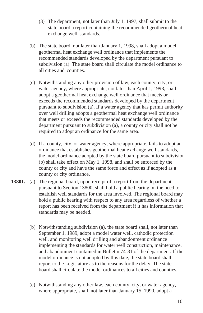- (3) The department, not later than July 1, 1997, shall submit to the state board a report containing the recommended geothermal heat exchange well standards.
- (b) The state board, not later than January 1, 1998, shall adopt a model geothermal heat exchange well ordinance that implements the recommended standards developed by the department pursuant to subdivision (a). The state board shall circulate the model ordinance to all cities and counties.
- (c) Notwithstanding any other provision of law, each county, city, or water agency, where appropriate, not later than April 1, 1998, shall adopt a geothermal heat exchange well ordinance that meets or exceeds the recommended standards developed by the department pursuant to subdivision (a). If a water agency that has permit authority over well drilling adopts a geothermal heat exchange well ordinance that meets or exceeds the recommended standards developed by the department pursuant to subdivision (a), a county or city shall not be required to adopt an ordinance for the same area.
- (d) If a county, city, or water agency, where appropriate, fails to adopt an ordinance that establishes geothermal heat exchange well standards, the model ordinance adopted by the state board pursuant to subdivision (b) shall take effect on May 1, 1998, and shall be enforced by the county or city and have the same force and effect as if adopted as a county or city ordinance.
- **13801.** (a) The regional board, upon receipt of a report from the department pursuant to Section 13800, shall hold a public hearing on the need to establish well standards for the area involved. The regional board may hold a public hearing with respect to any area regardless of whether a report has been received from the department if it has information that standards may be needed.
	- (b) Notwithstanding subdivision (a), the state board shall, not later than September 1, 1989, adopt a model water well, cathodic protection well, and monitoring well drilling and abandonment ordinance implementing the standards for water well construction, maintenance, and abandonment contained in Bulletin 74-81 of the department. If the model ordinance is not adopted by this date, the state board shall report to the Legislature as to the reasons for the delay. The state board shall circulate the model ordinances to all cities and counties.
	- (c) Notwithstanding any other law, each county, city, or water agency, where appropriate, shall, not later than January 15, 1990, adopt a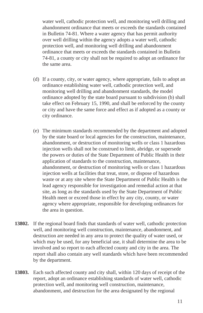water well, cathodic protection well, and monitoring well drilling and abandonment ordinance that meets or exceeds the standards contained in Bulletin 74-81. Where a water agency that has permit authority over well drilling within the agency adopts a water well, cathodic protection well, and monitoring well drilling and abandonment ordinance that meets or exceeds the standards contained in Bulletin 74-81, a county or city shall not be required to adopt an ordinance for the same area.

- (d) If a county, city, or water agency, where appropriate, fails to adopt an ordinance establishing water well, cathodic protection well, and monitoring well drilling and abandonment standards, the model ordinance adopted by the state board pursuant to subdivision (b) shall take effect on February 15, 1990, and shall be enforced by the county or city and have the same force and effect as if adopted as a county or city ordinance.
- (e) The minimum standards recommended by the department and adopted by the state board or local agencies for the construction, maintenance, abandonment, or destruction of monitoring wells or class 1 hazardous injection wells shall not be construed to limit, abridge, or supersede the powers or duties of the State Department of Public Health in their application of standards to the construction, maintenance, abandonment, or destruction of monitoring wells or class 1 hazardous injection wells at facilities that treat, store, or dispose of hazardous waste or at any site where the State Department of Public Health is the lead agency responsible for investigation and remedial action at that site, as long as the standards used by the State Department of Public Health meet or exceed those in effect by any city, county, or water agency where appropriate, responsible for developing ordinances for the area in question.
- **13802.** If the regional board finds that standards of water well, cathodic protection well, and monitoring well construction, maintenance, abandonment, and destruction are needed in any area to protect the quality of water used, or which may be used, for any beneficial use, it shall determine the area to be involved and so report to each affected county and city in the area. The report shall also contain any well standards which have been recommended by the department.
- **13803.** Each such affected county and city shall, within 120 days of receipt of the report, adopt an ordinance establishing standards of water well, cathodic protection well, and monitoring well construction, maintenance, abandonment, and destruction for the area designated by the regional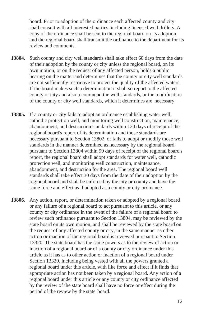board. Prior to adoption of the ordinance each affected county and city shall consult with all interested parties, including licensed well drillers. A copy of the ordinance shall be sent to the regional board on its adoption and the regional board shall transmit the ordinance to the department for its review and comments.

- **13804.** Such county and city well standards shall take effect 60 days from the date of their adoption by the county or city unless the regional board, on its own motion, or on the request of any affected person, holds a public hearing on the matter and determines that the county or city well standards are not sufficiently restrictive to protect the quality of the affected waters. If the board makes such a determination it shall so report to the affected county or city and also recommend the well standards, or the modification of the county or city well standards, which it determines are necessary.
- **13805.** If a county or city fails to adopt an ordinance establishing water well, cathodic protection well, and monitoring well construction, maintenance, abandonment, and destruction standards within 120 days of receipt of the regional board's report of its determination and those standards are necessary pursuant to Section 13802, or fails to adopt or modify those well standards in the manner determined as necessary by the regional board pursuant to Section 13804 within 90 days of receipt of the regional board's report, the regional board shall adopt standards for water well, cathodic protection well, and monitoring well construction, maintenance, abandonment, and destruction for the area. The regional board well standards shall take effect 30 days from the date of their adoption by the regional board and shall be enforced by the city or county and have the same force and effect as if adopted as a county or city ordinance.
- **13806.** Any action, report, or determination taken or adopted by a regional board or any failure of a regional board to act pursuant to this article, or any county or city ordinance in the event of the failure of a regional board to review such ordinance pursuant to Section 13804, may be reviewed by the state board on its own motion, and shall be reviewed by the state board on the request of any affected county or city, in the same manner as other action or inaction of the regional board is reviewed pursuant to Section 13320. The state board has the same powers as to the review of action or inaction of a regional board or of a county or city ordinance under this article as it has as to other action or inaction of a regional board under Section 13320, including being vested with all the powers granted a regional board under this article, with like force and effect if it finds that appropriate action has not been taken by a regional board. Any action of a regional board under this article or any county or city ordinance affected by the review of the state board shall have no force or effect during the period of the review by the state board.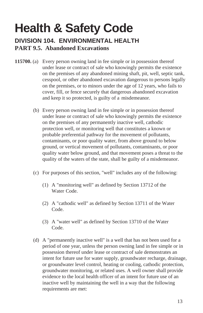# **Health & Safety Code**

## **DIVISION 104. ENVIRONMENTAL HEALTH PART 9.5. Abandoned Excavations**

- **115700.** (a) Every person owning land in fee simple or in possession thereof under lease or contract of sale who knowingly permits the existence on the premises of any abandoned mining shaft, pit, well, septic tank, cesspool, or other abandoned excavation dangerous to persons legally on the premises, or to minors under the age of 12 years, who fails to cover, fill, or fence securely that dangerous abandoned excavation and keep it so protected, is guilty of a misdemeanor.
	- (b) Every person owning land in fee simple or in possession thereof under lease or contract of sale who knowingly permits the existence on the premises of any permanently inactive well, cathodic protection well, or monitoring well that constitutes a known or probable preferential pathway for the movement of pollutants, contaminants, or poor quality water, from above ground to below ground, or vertical movement of pollutants, contaminants, or poor quality water below ground, and that movement poses a threat to the quality of the waters of the state, shall be guilty of a misdemeanor.
	- (c) For purposes of this section, "well" includes any of the following:
		- (1) A "monitoring well" as defined by Section 13712 of the Water Code.
		- (2) A "cathodic well" as defined by Section 13711 of the Water Code.
		- (3) A "water well" as defined by Section 13710 of the Water Code.
	- (d) A "permanently inactive well" is a well that has not been used for a period of one year, unless the person owning land in fee simple or in possession thereof under lease or contract of sale demonstrates an intent for future use for water supply, groundwater recharge, drainage, or groundwater level control, heating or cooling, cathodic protection, groundwater monitoring, or related uses. A well owner shall provide evidence to the local health officer of an intent for future use of an inactive well by maintaining the well in a way that the following requirements are met: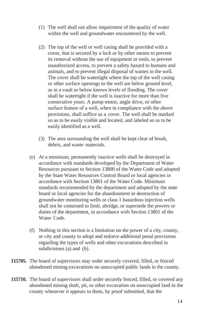- (1) The well shall not allow impairment of the quality of water within the well and groundwater encountered by the well.
- (2) The top of the well or well casing shall be provided with a cover, that is secured by a lock or by other means to prevent its removal without the use of equipment or tools, to prevent unauthorized access, to prevent a safety hazard to humans and animals, and to prevent illegal disposal of wastes in the well. The cover shall be watertight where the top of the well casing or other surface openings to the well are below ground level, as in a vault or below known levels of flooding. The cover shall be watertight if the well is inactive for more than five consecutive years. A pump motor, angle drive, or other surface feature of a well, when in compliance with the above provisions, shall suffice as a cover. The well shall be marked so as to be easily visible and located, and labeled so as to be easily identified as a well.
- (3) The area surrounding the well shall be kept clear of brush, debris, and waste materials.
- (e) At a minimum, permanently inactive wells shall be destroyed in accordance with standards developed by the Department of Water Resources pursuant to Section 13800 of the Water Code and adopted by the State Water Resources Control Board or local agencies in accordance with Section 13801 of the Water Code. Minimum standards recommended by the department and adopted by the state board or local agencies for the abandonment or destruction of groundwater monitoring wells or class 1 hazardous injection wells shall not be construed to limit, abridge, or supersede the powers or duties of the department, in accordance with Section 13801 of the Water Code.
- (f) Nothing in this section is a limitation on the power of a city, county, or city and county to adopt and enforce additional penal provisions regarding the types of wells and other excavations described in subdivisions (a) and (b).
- **115705.** The board of supervisors may order securely covered, filled, or fenced abandoned mining excavations on unoccupied public lands in the county.
- **115710.** The board of supervisors shall order securely fenced, filled, or covered any abandoned mining shaft, pit, or other excavation on unoccupied land in the county whenever it appears to them, by proof submitted, that the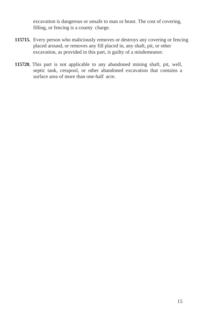excavation is dangerous or unsafe to man or beast. The cost of covering, filling, or fencing is a county charge.

- **115715.** Every person who maliciously removes or destroys any covering or fencing placed around, or removes any fill placed in, any shaft, pit, or other excavation, as provided in this part, is guilty of a misdemeanor.
- **115720.** This part is not applicable to any abandoned mining shaft, pit, well, septic tank, cesspool, or other abandoned excavation that contains a surface area of more than one-half acre.